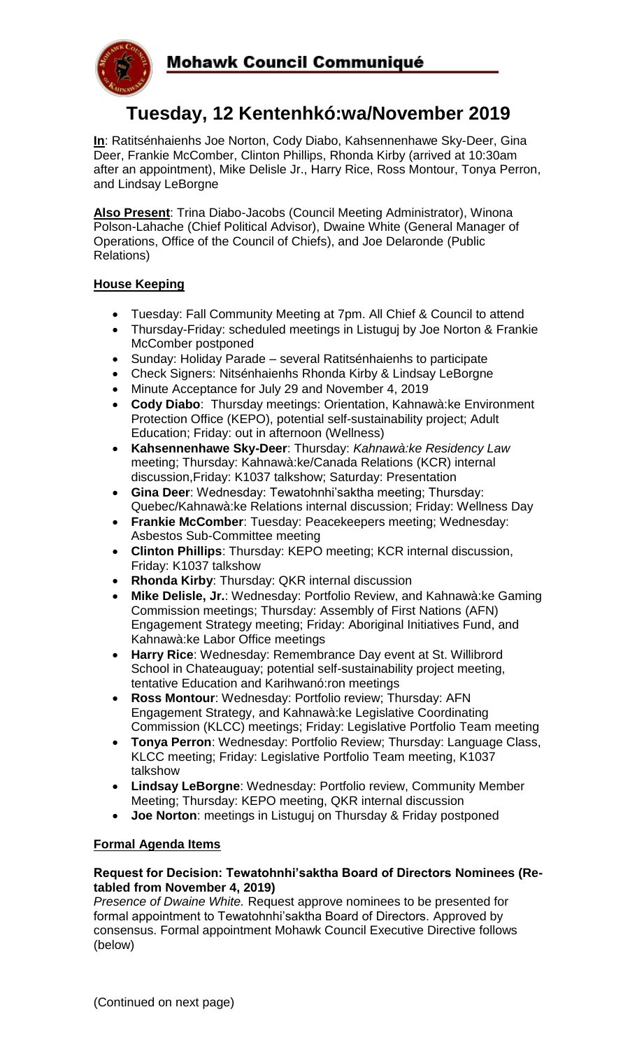

# **Tuesday, 12 Kentenhkó:wa/November 2019**

**In**: Ratitsénhaienhs Joe Norton, Cody Diabo, Kahsennenhawe Sky-Deer, Gina Deer, Frankie McComber, Clinton Phillips, Rhonda Kirby (arrived at 10:30am after an appointment), Mike Delisle Jr., Harry Rice, Ross Montour, Tonya Perron, and Lindsay LeBorgne

**Also Present**: Trina Diabo-Jacobs (Council Meeting Administrator), Winona Polson-Lahache (Chief Political Advisor), Dwaine White (General Manager of Operations, Office of the Council of Chiefs), and Joe Delaronde (Public Relations)

# **House Keeping**

- Tuesday: Fall Community Meeting at 7pm. All Chief & Council to attend
- Thursday-Friday: scheduled meetings in Listuguj by Joe Norton & Frankie McComber postponed
- Sunday: Holiday Parade several Ratitsénhaienhs to participate
- Check Signers: Nitsénhaienhs Rhonda Kirby & Lindsay LeBorgne
- Minute Acceptance for July 29 and November 4, 2019
- **Cody Diabo**: Thursday meetings: Orientation, Kahnawà:ke Environment Protection Office (KEPO), potential self-sustainability project; Adult Education; Friday: out in afternoon (Wellness)
- **Kahsennenhawe Sky-Deer**: Thursday: *Kahnawà:ke Residency Law*  meeting; Thursday: Kahnawà:ke/Canada Relations (KCR) internal discussion,Friday: K1037 talkshow; Saturday: Presentation
- **Gina Deer**: Wednesday: Tewatohnhi'saktha meeting; Thursday: Quebec/Kahnawà:ke Relations internal discussion; Friday: Wellness Day
- **Frankie McComber**: Tuesday: Peacekeepers meeting; Wednesday: Asbestos Sub-Committee meeting
- **Clinton Phillips**: Thursday: KEPO meeting; KCR internal discussion, Friday: K1037 talkshow
- **Rhonda Kirby**: Thursday: QKR internal discussion
- **Mike Delisle, Jr.**: Wednesday: Portfolio Review, and Kahnawà:ke Gaming Commission meetings; Thursday: Assembly of First Nations (AFN) Engagement Strategy meeting; Friday: Aboriginal Initiatives Fund, and Kahnawà:ke Labor Office meetings
- **Harry Rice**: Wednesday: Remembrance Day event at St. Willibrord School in Chateauguay; potential self-sustainability project meeting, tentative Education and Karihwanó:ron meetings
- **Ross Montour**: Wednesday: Portfolio review; Thursday: AFN Engagement Strategy, and Kahnawà:ke Legislative Coordinating Commission (KLCC) meetings; Friday: Legislative Portfolio Team meeting
- **Tonya Perron**: Wednesday: Portfolio Review; Thursday: Language Class, KLCC meeting; Friday: Legislative Portfolio Team meeting, K1037 talkshow
- **Lindsay LeBorgne**: Wednesday: Portfolio review, Community Member Meeting; Thursday: KEPO meeting, QKR internal discussion
- **Joe Norton**: meetings in Listuguj on Thursday & Friday postponed

## **Formal Agenda Items**

#### **Request for Decision: Tewatohnhi'saktha Board of Directors Nominees (Retabled from November 4, 2019)**

*Presence of Dwaine White.* Request approve nominees to be presented for formal appointment to Tewatohnhi'saktha Board of Directors. Approved by consensus. Formal appointment Mohawk Council Executive Directive follows (below)